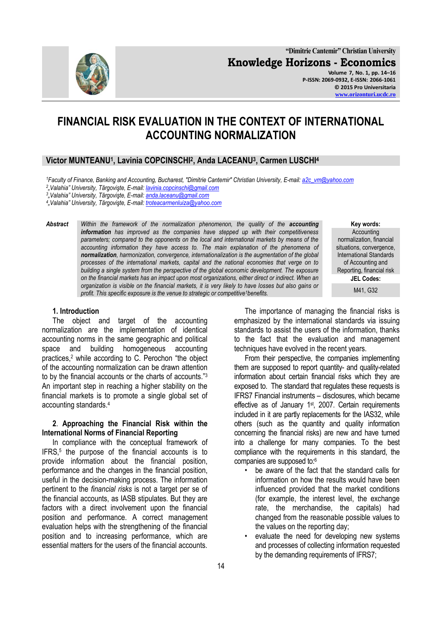

# **FINANCIAL RISK EVALUATION IN THE CONTEXT OF INTERNATIONAL ACCOUNTING NORMALIZATION**

## **Victor MUNTEANU<sup>1</sup> , Lavinia COPCINSCHI<sup>2</sup> , Anda LACEANU<sup>3</sup> , Carmen LUSCHI<sup>4</sup>**

*<sup>1</sup>Faculty of Finance, Banking and Accounting, Bucharest, "Dimitrie Cantemir" Christian University, E-mail[: a2c\\_vm@yahoo.com](mailto:a2c_vm@yahoo.com)*

*2 "Valahia" University, Târgovişte, E-mail: [lavinia.copcinschi@gmail.com](mailto:lavinia.copcinschi@gmail.com)*

*3 "Valahia" University, Târgovişte, E-mail: [anda.laceanu@gmail.com](mailto:anda.laceanu@gmail.com)*

*4 "Valahia" University, Târgovişte, E-mail[: troteacarmenluiza@yahoo.com](mailto:troteacarmenluiza@yahoo.com)*

**Abstract** *Within the framework of the normalization phenomenon, the quality of the accounting information has improved as the companies have stepped up with their competitiveness parameters; compared to the opponents on the local and international markets by means of the accounting information they have access to. The main explanation of the phenomena of normalization, harmonization, convergence, internationalization is the augmentation of the global processes of the international markets, capital and the national economies that verge on to building a single system from the perspective of the global economic development. The exposure on the financial markets has an impact upon most organizations, either direct or indirect. When an organization is visible on the financial markets, it is very likely to have losses but also gains or profit. This specific exposure is the venue to strategic or competitive<sup>1</sup>benefits.*

**Key words: Accounting** normalization, financial situations, convergence, International Standards of Accounting and Reporting, financial risk **JEL Codes:**

M41, G32

#### **1. Introduction**

The object and target of the accounting normalization are the implementation of identical accounting norms in the same geographic and political space and building homogeneous accounting practices, <sup>2</sup> while according to C. Perochon "the object of the accounting normalization can be drawn attention to by the financial accounts or the charts of accounts."<sup>3</sup> An important step in reaching a higher stability on the financial markets is to promote a single global set of accounting standards.<sup>4</sup>

#### **2**. **Approaching the Financial Risk within the International Norms of Financial Reporting**

In compliance with the conceptual framework of IFRS,<sup>5</sup> the purpose of the financial accounts is to provide information about the financial position, performance and the changes in the financial position, useful in the decision-making process. The information pertinent to the *financial risks* is not a target per se of the financial accounts, as IASB stipulates. But they are factors with a direct involvement upon the financial position and performance. A correct management evaluation helps with the strengthening of the financial position and to increasing performance, which are essential matters for the users of the financial accounts.

The importance of managing the financial risks is emphasized by the international standards via issuing standards to assist the users of the information, thanks to the fact that the evaluation and management techniques have evolved in the recent years.

From their perspective, the companies implementing them are supposed to report quantity- and quality-related information about certain financial risks which they are exposed to. The standard that regulates these requests is IFRS7 Financial instruments – disclosures, which became effective as of January 1<sup>st</sup>, 2007. Certain requirements included in it are partly replacements for the IAS32, while others (such as the quantity and quality information concerning the financial risks) are new and have turned into a challenge for many companies. To the best compliance with the requirements in this standard, the companies are supposed to:<sup>6</sup>

- be aware of the fact that the standard calls for information on how the results would have been influenced provided that the market conditions (for example, the interest level, the exchange rate, the merchandise, the capitals) had changed from the reasonable possible values to the values on the reporting day;
- evaluate the need for developing new systems and processes of collecting information requested by the demanding requirements of IFRS7;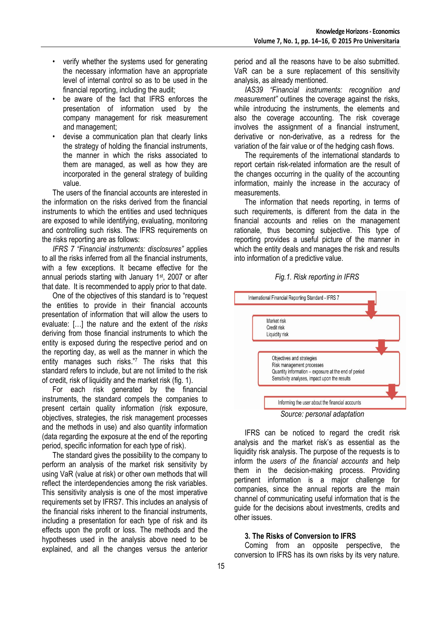- verify whether the systems used for generating the necessary information have an appropriate level of internal control so as to be used in the financial reporting, including the audit;
- be aware of the fact that IFRS enforces the presentation of information used by the company management for risk measurement and management;
- devise a communication plan that clearly links the strategy of holding the financial instruments, the manner in which the risks associated to them are managed, as well as how they are incorporated in the general strategy of building value.

The users of the financial accounts are interested in the information on the risks derived from the financial instruments to which the entities and used techniques are exposed to while identifying, evaluating, monitoring and controlling such risks. The IFRS requirements on the risks reporting are as follows:

*IFRS 7 "Financial instruments: disclosures"* applies to all the risks inferred from all the financial instruments, with a few exceptions. It became effective for the annual periods starting with January 1st, 2007 or after that date. It is recommended to apply prior to that date.

One of the objectives of this standard is to "request the entities to provide in their financial accounts presentation of information that will allow the users to evaluate: […] the nature and the extent of the *risks*  deriving from those financial instruments to which the entity is exposed during the respective period and on the reporting day, as well as the manner in which the entity manages such risks."<sup>7</sup> The risks that this standard refers to include, but are not limited to the risk of credit, risk of liquidity and the market risk (fig. 1).

For each risk generated by the financial instruments, the standard compels the companies to present certain quality information (risk exposure, objectives, strategies, the risk management processes and the methods in use) and also quantity information (data regarding the exposure at the end of the reporting period, specific information for each type of risk).

The standard gives the possibility to the company to perform an analysis of the market risk sensitivity by using VaR (value at risk) or other own methods that will reflect the interdependencies among the risk variables. This sensitivity analysis is one of the most imperative requirements set by IFRS7. This includes an analysis of the financial risks inherent to the financial instruments, including a presentation for each type of risk and its effects upon the profit or loss. The methods and the hypotheses used in the analysis above need to be explained, and all the changes versus the anterior

period and all the reasons have to be also submitted. VaR can be a sure replacement of this sensitivity analysis, as already mentioned.

*IAS39 "Financial instruments: recognition and measurement"* outlines the coverage against the risks, while introducing the instruments, the elements and also the coverage accounting. The risk coverage involves the assignment of a financial instrument, derivative or non-derivative, as a redress for the variation of the fair value or of the hedging cash flows.

The requirements of the international standards to report certain risk-related information are the result of the changes occurring in the quality of the accounting information, mainly the increase in the accuracy of measurements.

The information that needs reporting, in terms of such requirements, is different from the data in the financial accounts and relies on the management rationale, thus becoming subjective. This type of reporting provides a useful picture of the manner in which the entity deals and manages the risk and results into information of a predictive value.





*Source: personal adaptation*

IFRS can be noticed to regard the credit risk analysis and the market risk's as essential as the liquidity risk analysis. The purpose of the requests is to inform the *users of the financial accounts* and help them in the decision-making process. Providing pertinent information is a major challenge for companies, since the annual reports are the main channel of communicating useful information that is the guide for the decisions about investments, credits and other issues.

### **3. The Risks of Conversion to IFRS**

Coming from an opposite perspective, the conversion to IFRS has its own risks by its very nature.